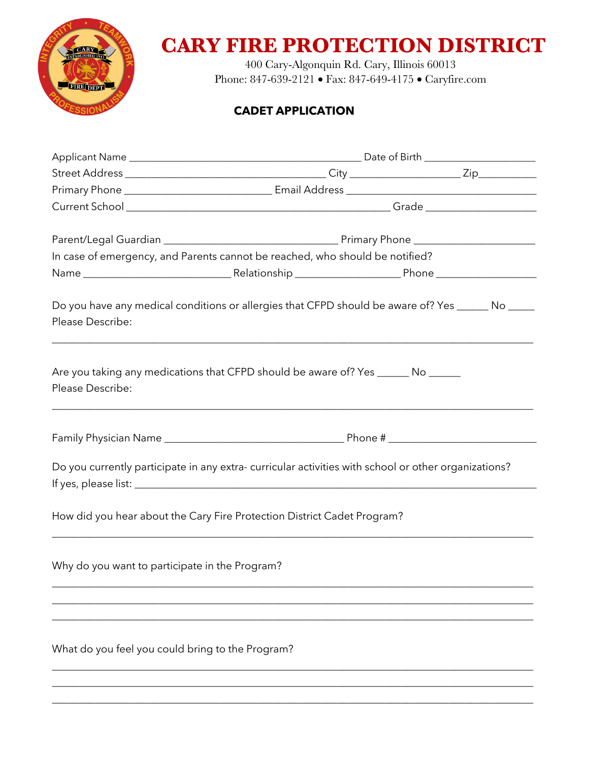

## **CARY FIRE PROTECTION DISTRICT**

400 Cary-Algonquin Rd. Cary, Illinois 60013 Phone: 847-639-2121 • Fax: 847-649-4175 • Caryfire.com

## **CADET APPLICATION**

|                                                  | In case of emergency, and Parents cannot be reached, who should be notified?                                                                                                                                |  |  |
|--------------------------------------------------|-------------------------------------------------------------------------------------------------------------------------------------------------------------------------------------------------------------|--|--|
|                                                  |                                                                                                                                                                                                             |  |  |
| Please Describe:                                 | Do you have any medical conditions or allergies that CFPD should be aware of? Yes ______ No _____                                                                                                           |  |  |
| Please Describe:                                 | Are you taking any medications that CFPD should be aware of? Yes _______ No ______<br><u> 1989 - Johann Harry Harry Harry Harry Harry Harry Harry Harry Harry Harry Harry Harry Harry Harry Harry Harry</u> |  |  |
|                                                  |                                                                                                                                                                                                             |  |  |
|                                                  | Do you currently participate in any extra-curricular activities with school or other organizations?                                                                                                         |  |  |
|                                                  | How did you hear about the Cary Fire Protection District Cadet Program?                                                                                                                                     |  |  |
| Why do you want to participate in the Program?   |                                                                                                                                                                                                             |  |  |
| What do you feel you could bring to the Program? |                                                                                                                                                                                                             |  |  |
|                                                  |                                                                                                                                                                                                             |  |  |

 $\_$  ,  $\_$  ,  $\_$  ,  $\_$  ,  $\_$  ,  $\_$  ,  $\_$  ,  $\_$  ,  $\_$  ,  $\_$  ,  $\_$  ,  $\_$  ,  $\_$  ,  $\_$  ,  $\_$  ,  $\_$  ,  $\_$  ,  $\_$  ,  $\_$  ,  $\_$  ,  $\_$  ,  $\_$  ,  $\_$  ,  $\_$  ,  $\_$  ,  $\_$  ,  $\_$  ,  $\_$  ,  $\_$  ,  $\_$  ,  $\_$  ,  $\_$  ,  $\_$  ,  $\_$  ,  $\_$  ,  $\_$  ,  $\_$  ,